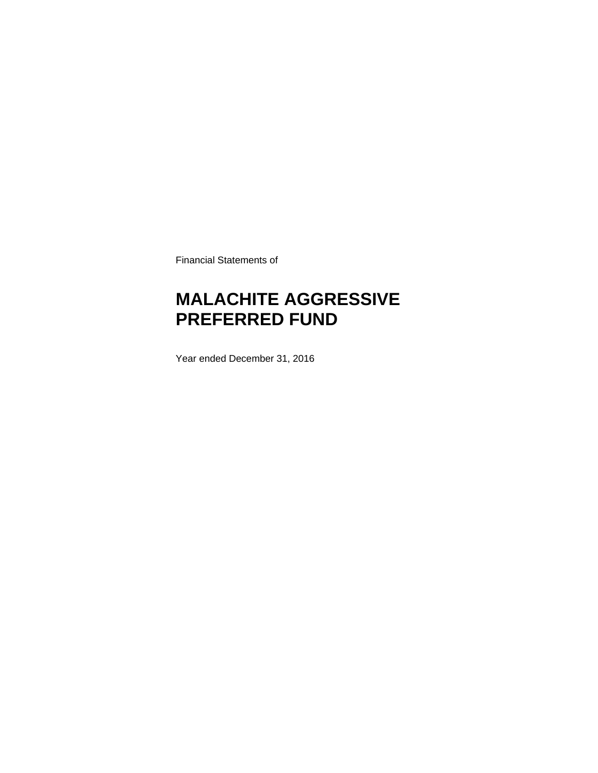Financial Statements of

# **MALACHITE AGGRESSIVE PREFERRED FUND**

Year ended December 31, 2016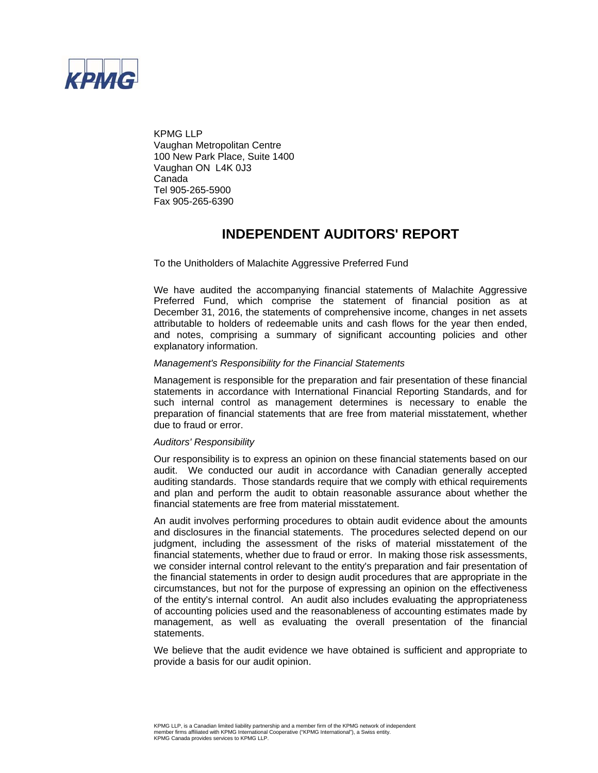

KPMG LLP Vaughan Metropolitan Centre 100 New Park Place, Suite 1400 Vaughan ON L4K 0J3 Canada Tel 905-265-5900 Fax 905-265-6390

### **INDEPENDENT AUDITORS' REPORT**

To the Unitholders of Malachite Aggressive Preferred Fund

We have audited the accompanying financial statements of Malachite Aggressive Preferred Fund, which comprise the statement of financial position as at December 31, 2016, the statements of comprehensive income, changes in net assets attributable to holders of redeemable units and cash flows for the year then ended, and notes, comprising a summary of significant accounting policies and other explanatory information.

#### *Management's Responsibility for the Financial Statements*

Management is responsible for the preparation and fair presentation of these financial statements in accordance with International Financial Reporting Standards, and for such internal control as management determines is necessary to enable the preparation of financial statements that are free from material misstatement, whether due to fraud or error.

#### *Auditors' Responsibility*

Our responsibility is to express an opinion on these financial statements based on our audit. We conducted our audit in accordance with Canadian generally accepted auditing standards. Those standards require that we comply with ethical requirements and plan and perform the audit to obtain reasonable assurance about whether the financial statements are free from material misstatement.

An audit involves performing procedures to obtain audit evidence about the amounts and disclosures in the financial statements. The procedures selected depend on our judgment, including the assessment of the risks of material misstatement of the financial statements, whether due to fraud or error. In making those risk assessments, we consider internal control relevant to the entity's preparation and fair presentation of the financial statements in order to design audit procedures that are appropriate in the circumstances, but not for the purpose of expressing an opinion on the effectiveness of the entity's internal control. An audit also includes evaluating the appropriateness of accounting policies used and the reasonableness of accounting estimates made by management, as well as evaluating the overall presentation of the financial statements.

We believe that the audit evidence we have obtained is sufficient and appropriate to provide a basis for our audit opinion.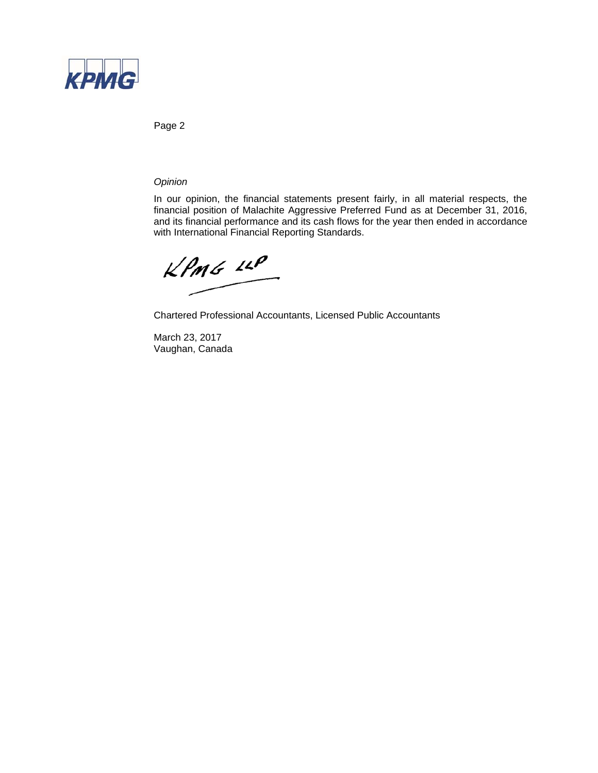

Page 2

#### *Opinion*

In our opinion, the financial statements present fairly, in all material respects, the financial position of Malachite Aggressive Preferred Fund as at December 31, 2016, and its financial performance and its cash flows for the year then ended in accordance with International Financial Reporting Standards.

 $kPm6$  12P

Chartered Professional Accountants, Licensed Public Accountants

March 23, 2017 Vaughan, Canada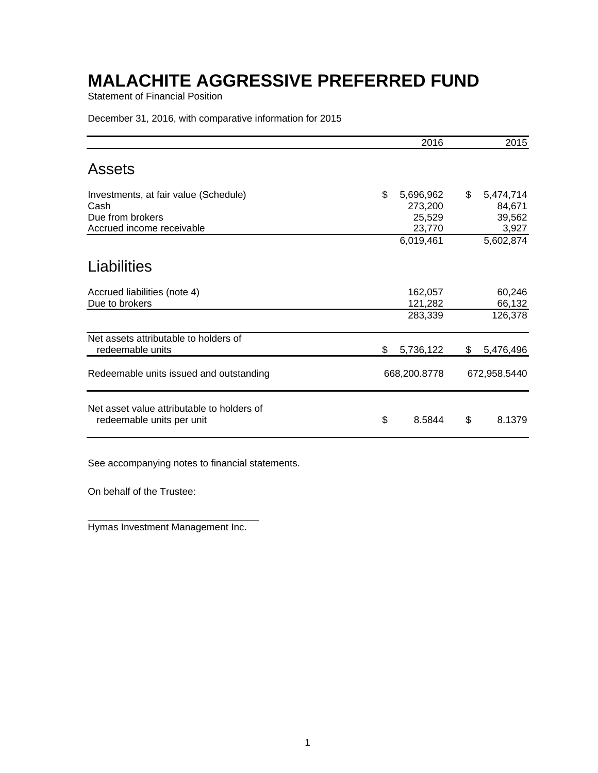Statement of Financial Position

December 31, 2016, with comparative information for 2015

|                                                                         | 2016                       | 2015                      |
|-------------------------------------------------------------------------|----------------------------|---------------------------|
| <b>Assets</b>                                                           |                            |                           |
| Investments, at fair value (Schedule)<br>Cash                           | \$<br>5,696,962<br>273,200 | \$<br>5,474,714<br>84,671 |
| Due from brokers<br>Accrued income receivable                           | 25,529<br>23,770           | 39,562<br>3,927           |
|                                                                         | 6,019,461                  | 5,602,874                 |
| Liabilities                                                             |                            |                           |
| Accrued liabilities (note 4)<br>Due to brokers                          | 162,057<br>121,282         | 60,246<br>66,132          |
|                                                                         | 283,339                    | 126,378                   |
| Net assets attributable to holders of<br>redeemable units               | \$<br>5,736,122            | 5,476,496<br>\$           |
| Redeemable units issued and outstanding                                 | 668,200.8778               | 672,958.5440              |
| Net asset value attributable to holders of<br>redeemable units per unit | \$<br>8.5844               | \$<br>8.1379              |

See accompanying notes to financial statements.

On behalf of the Trustee:

 Hymas Investment Management Inc.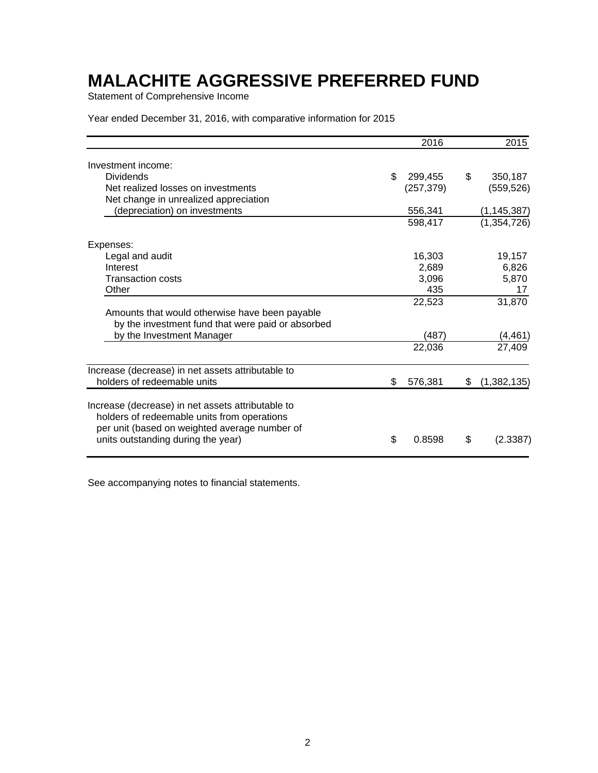Statement of Comprehensive Income

Year ended December 31, 2016, with comparative information for 2015

|                                                   | 2016          | 2015              |
|---------------------------------------------------|---------------|-------------------|
| Investment income:                                |               |                   |
| <b>Dividends</b>                                  | \$<br>299,455 | \$<br>350,187     |
| Net realized losses on investments                | (257, 379)    | (559, 526)        |
| Net change in unrealized appreciation             |               |                   |
| (depreciation) on investments                     | 556,341       | (1, 145, 387)     |
|                                                   | 598,417       | (1,354,726)       |
|                                                   |               |                   |
| Expenses:                                         |               |                   |
| Legal and audit                                   | 16,303        | 19,157            |
| Interest                                          | 2,689         | 6,826             |
| <b>Transaction costs</b>                          | 3,096         | 5,870             |
| Other                                             | 435           | 17                |
|                                                   | 22,523        | 31,870            |
| Amounts that would otherwise have been payable    |               |                   |
| by the investment fund that were paid or absorbed |               |                   |
| by the Investment Manager                         | (487)         | (4, 461)          |
|                                                   | 22,036        | 27,409            |
| Increase (decrease) in net assets attributable to |               |                   |
| holders of redeemable units                       | \$<br>576,381 | \$<br>(1,382,135) |
|                                                   |               |                   |
| Increase (decrease) in net assets attributable to |               |                   |
| holders of redeemable units from operations       |               |                   |
| per unit (based on weighted average number of     |               |                   |
| units outstanding during the year)                | \$<br>0.8598  | \$<br>(2.3387)    |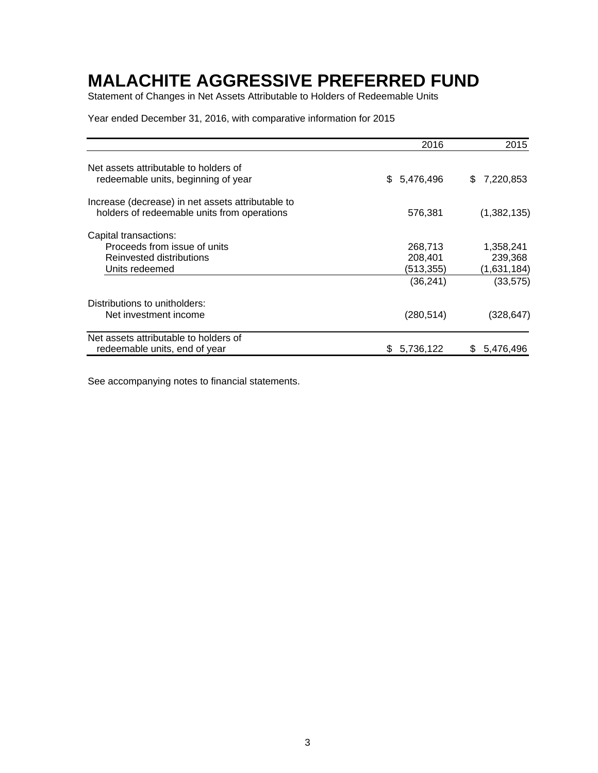Statement of Changes in Net Assets Attributable to Holders of Redeemable Units

Year ended December 31, 2016, with comparative information for 2015

|                                                                                                  | 2016             | 2015           |
|--------------------------------------------------------------------------------------------------|------------------|----------------|
| Net assets attributable to holders of<br>redeemable units, beginning of year                     | 5,476,496<br>\$. | 7,220,853<br>S |
| Increase (decrease) in net assets attributable to<br>holders of redeemable units from operations | 576,381          | (1,382,135)    |
| Capital transactions:                                                                            |                  |                |
| Proceeds from issue of units                                                                     | 268,713          | 1,358,241      |
| Reinvested distributions                                                                         | 208,401          | 239,368        |
| Units redeemed                                                                                   | (513,355)        | (1,631,184)    |
|                                                                                                  | (36, 241)        | (33, 575)      |
| Distributions to unitholders:                                                                    |                  |                |
| Net investment income                                                                            | (280, 514)       | (328, 647)     |
| Net assets attributable to holders of                                                            |                  |                |
| redeemable units, end of year                                                                    | 5,736,122<br>S.  | 5.476.496<br>S |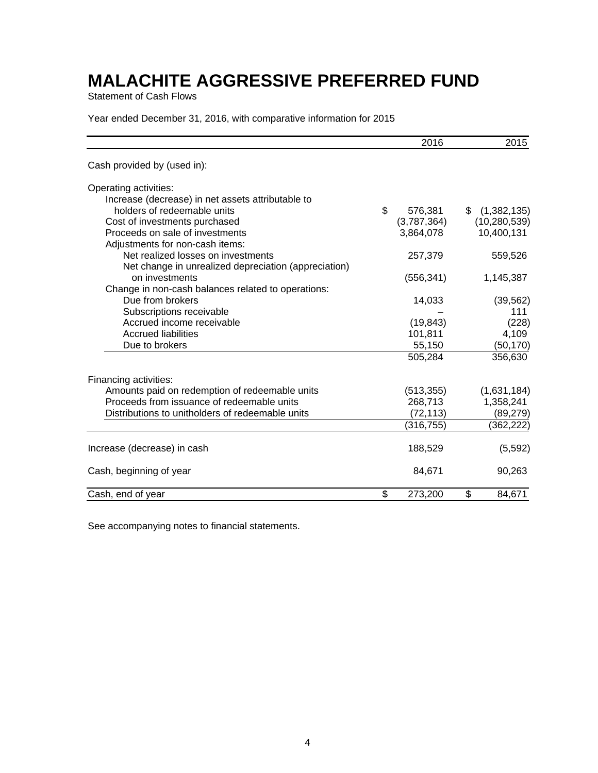Statement of Cash Flows

Year ended December 31, 2016, with comparative information for 2015

|                                                      | 2016          | 2015              |
|------------------------------------------------------|---------------|-------------------|
| Cash provided by (used in):                          |               |                   |
| Operating activities:                                |               |                   |
| Increase (decrease) in net assets attributable to    |               |                   |
| holders of redeemable units                          | \$<br>576,381 | \$<br>(1,382,135) |
| Cost of investments purchased                        | (3,787,364)   | (10, 280, 539)    |
| Proceeds on sale of investments                      | 3,864,078     | 10,400,131        |
| Adjustments for non-cash items:                      |               |                   |
| Net realized losses on investments                   | 257,379       | 559,526           |
| Net change in unrealized depreciation (appreciation) |               |                   |
| on investments                                       | (556, 341)    | 1,145,387         |
| Change in non-cash balances related to operations:   |               |                   |
| Due from brokers                                     | 14,033        | (39, 562)         |
| Subscriptions receivable                             |               | 111               |
| Accrued income receivable                            | (19, 843)     | (228)             |
| <b>Accrued liabilities</b>                           | 101,811       | 4,109             |
| Due to brokers                                       | 55,150        | (50, 170)         |
|                                                      | 505,284       | 356,630           |
| Financing activities:                                |               |                   |
| Amounts paid on redemption of redeemable units       | (513, 355)    | (1,631,184)       |
| Proceeds from issuance of redeemable units           | 268,713       | 1,358,241         |
| Distributions to unitholders of redeemable units     | (72, 113)     | (89,279)          |
|                                                      | (316, 755)    | (362, 222)        |
| Increase (decrease) in cash                          | 188,529       | (5, 592)          |
| Cash, beginning of year                              | 84,671        | 90,263            |
| Cash, end of year                                    | \$<br>273,200 | \$<br>84,671      |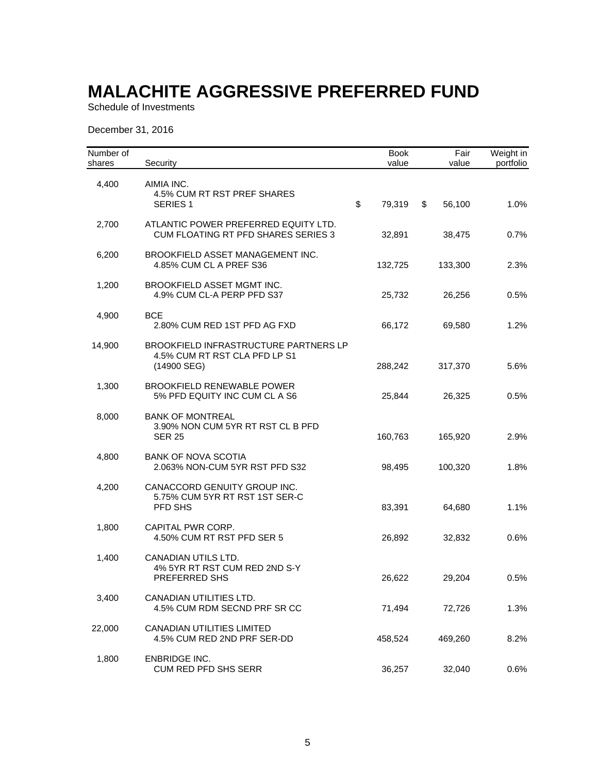Schedule of Investments

December 31, 2016

| Number of<br>shares | Security                                                                              | <b>Book</b><br>value | Fair<br>value | Weight in<br>portfolio |
|---------------------|---------------------------------------------------------------------------------------|----------------------|---------------|------------------------|
| 4,400               | AIMIA INC.<br>4.5% CUM RT RST PREF SHARES<br><b>SERIES 1</b>                          | \$<br>79,319         | \$<br>56,100  | 1.0%                   |
| 2,700               | ATLANTIC POWER PREFERRED EQUITY LTD.<br>CUM FLOATING RT PFD SHARES SERIES 3           | 32,891               | 38,475        | 0.7%                   |
| 6,200               | BROOKFIELD ASSET MANAGEMENT INC.<br>4.85% CUM CL A PREF S36                           | 132,725              | 133,300       | 2.3%                   |
| 1,200               | BROOKFIELD ASSET MGMT INC.<br>4.9% CUM CL-A PERP PFD S37                              | 25,732               | 26,256        | 0.5%                   |
| 4,900               | <b>BCE</b><br>2.80% CUM RED 1ST PFD AG FXD                                            | 66,172               | 69,580        | 1.2%                   |
| 14,900              | BROOKFIELD INFRASTRUCTURE PARTNERS LP<br>4.5% CUM RT RST CLA PFD LP S1<br>(14900 SEG) | 288,242              | 317,370       | 5.6%                   |
| 1,300               | <b>BROOKFIELD RENEWABLE POWER</b><br>5% PFD EQUITY INC CUM CL A S6                    | 25,844               | 26,325        | 0.5%                   |
| 8,000               | <b>BANK OF MONTREAL</b><br>3.90% NON CUM 5YR RT RST CL B PFD<br><b>SER 25</b>         | 160,763              | 165,920       | 2.9%                   |
| 4,800               | <b>BANK OF NOVA SCOTIA</b><br>2.063% NON-CUM 5YR RST PFD S32                          | 98,495               | 100,320       | 1.8%                   |
| 4,200               | CANACCORD GENUITY GROUP INC.<br>5.75% CUM 5YR RT RST 1ST SER-C<br>PFD SHS             | 83,391               | 64,680        | 1.1%                   |
| 1,800               | CAPITAL PWR CORP.<br>4.50% CUM RT RST PFD SER 5                                       | 26,892               | 32,832        | 0.6%                   |
| 1,400               | CANADIAN UTILS LTD.<br>4% 5YR RT RST CUM RED 2ND S-Y<br>PREFERRED SHS                 | 26,622               | 29,204        | 0.5%                   |
| 3,400               | CANADIAN UTILITIES LTD.<br>4.5% CUM RDM SECND PRF SR CC                               | 71,494               | 72,726        | 1.3%                   |
| 22,000              | <b>CANADIAN UTILITIES LIMITED</b><br>4.5% CUM RED 2ND PRF SER-DD                      | 458,524              | 469,260       | 8.2%                   |
| 1,800               | ENBRIDGE INC.<br>CUM RED PFD SHS SERR                                                 | 36,257               | 32,040        | 0.6%                   |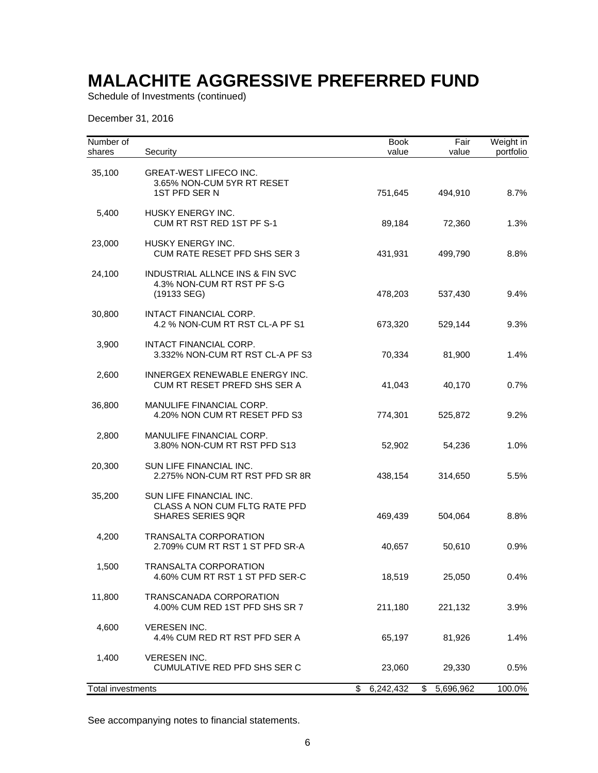Schedule of Investments (continued)

December 31, 2016

| Number of         |                                                                               | <b>Book</b>     | Fair            | Weight in |
|-------------------|-------------------------------------------------------------------------------|-----------------|-----------------|-----------|
| shares            | Security                                                                      | value           | value           | portfolio |
| 35,100            | <b>GREAT-WEST LIFECO INC.</b><br>3.65% NON-CUM 5YR RT RESET<br>1ST PFD SER N  | 751,645         | 494,910         | 8.7%      |
| 5,400             | HUSKY ENERGY INC.<br>CUM RT RST RED 1ST PF S-1                                | 89,184          | 72,360          | 1.3%      |
| 23,000            | HUSKY ENERGY INC.<br>CUM RATE RESET PFD SHS SER 3                             | 431,931         | 499,790         | 8.8%      |
| 24,100            | INDUSTRIAL ALLNCE INS & FIN SVC<br>4.3% NON-CUM RT RST PF S-G<br>(19133 SEG)  | 478,203         | 537,430         | 9.4%      |
| 30,800            | INTACT FINANCIAL CORP.<br>4.2 % NON-CUM RT RST CL-A PF S1                     | 673,320         | 529,144         | 9.3%      |
| 3,900             | INTACT FINANCIAL CORP.<br>3.332% NON-CUM RT RST CL-A PF S3                    | 70,334          | 81,900          | 1.4%      |
| 2,600             | INNERGEX RENEWABLE ENERGY INC.<br>CUM RT RESET PREFD SHS SER A                | 41,043          | 40,170          | 0.7%      |
| 36,800            | MANULIFE FINANCIAL CORP.<br>4.20% NON CUM RT RESET PFD S3                     | 774,301         | 525,872         | 9.2%      |
| 2,800             | MANULIFE FINANCIAL CORP.<br>3.80% NON-CUM RT RST PFD S13                      | 52,902          | 54,236          | 1.0%      |
| 20,300            | SUN LIFE FINANCIAL INC.<br>2.275% NON-CUM RT RST PFD SR 8R                    | 438,154         | 314,650         | 5.5%      |
| 35,200            | SUN LIFE FINANCIAL INC.<br>CLASS A NON CUM FLTG RATE PFD<br>SHARES SERIES 9QR | 469,439         | 504,064         | 8.8%      |
| 4,200             | <b>TRANSALTA CORPORATION</b><br>2.709% CUM RT RST 1 ST PFD SR-A               | 40,657          | 50,610          | 0.9%      |
| 1,500             | <b>TRANSALTA CORPORATION</b><br>4.60% CUM RT RST 1 ST PFD SER-C               | 18,519          | 25,050          | 0.4%      |
| 11,800            | <b>TRANSCANADA CORPORATION</b><br>4.00% CUM RED 1ST PFD SHS SR 7              | 211,180         | 221,132         | 3.9%      |
| 4,600             | VERESEN INC.<br>4.4% CUM RED RT RST PFD SER A                                 | 65,197          | 81,926          | 1.4%      |
| 1,400             | VERESEN INC.<br>CUMULATIVE RED PFD SHS SER C                                  | 23,060          | 29,330          | 0.5%      |
| Total investments |                                                                               | \$<br>6,242,432 | \$<br>5,696,962 | 100.0%    |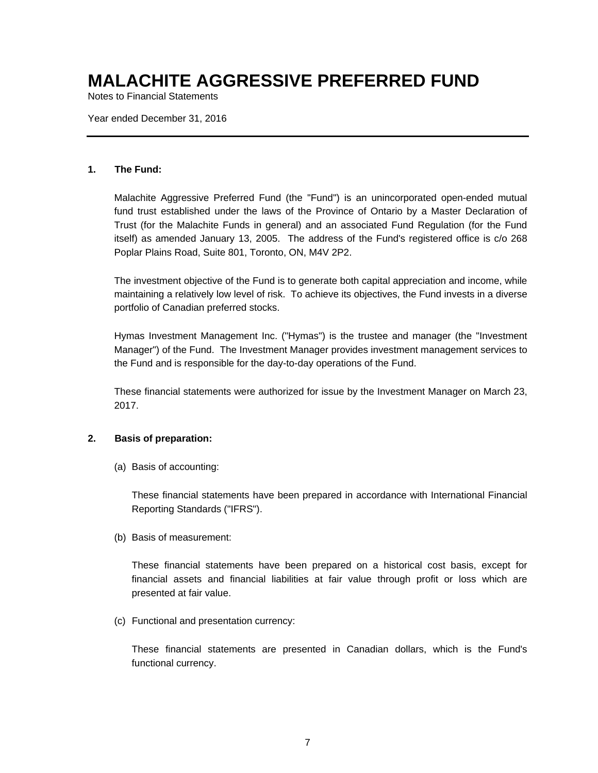Notes to Financial Statements

Year ended December 31, 2016

#### **1. The Fund:**

Malachite Aggressive Preferred Fund (the "Fund") is an unincorporated open-ended mutual fund trust established under the laws of the Province of Ontario by a Master Declaration of Trust (for the Malachite Funds in general) and an associated Fund Regulation (for the Fund itself) as amended January 13, 2005. The address of the Fund's registered office is c/o 268 Poplar Plains Road, Suite 801, Toronto, ON, M4V 2P2.

The investment objective of the Fund is to generate both capital appreciation and income, while maintaining a relatively low level of risk. To achieve its objectives, the Fund invests in a diverse portfolio of Canadian preferred stocks.

Hymas Investment Management Inc. ("Hymas") is the trustee and manager (the "Investment Manager") of the Fund. The Investment Manager provides investment management services to the Fund and is responsible for the day-to-day operations of the Fund.

These financial statements were authorized for issue by the Investment Manager on March 23, 2017.

#### **2. Basis of preparation:**

(a) Basis of accounting:

These financial statements have been prepared in accordance with International Financial Reporting Standards ("IFRS").

(b) Basis of measurement:

These financial statements have been prepared on a historical cost basis, except for financial assets and financial liabilities at fair value through profit or loss which are presented at fair value.

(c) Functional and presentation currency:

These financial statements are presented in Canadian dollars, which is the Fund's functional currency.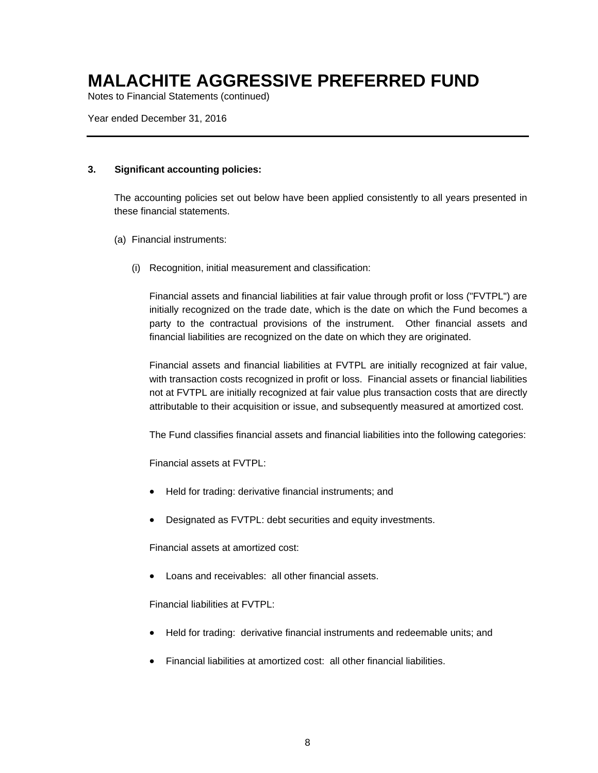Notes to Financial Statements (continued)

Year ended December 31, 2016

### **3. Significant accounting policies:**

The accounting policies set out below have been applied consistently to all years presented in these financial statements.

- (a) Financial instruments:
	- (i) Recognition, initial measurement and classification:

Financial assets and financial liabilities at fair value through profit or loss ("FVTPL") are initially recognized on the trade date, which is the date on which the Fund becomes a party to the contractual provisions of the instrument. Other financial assets and financial liabilities are recognized on the date on which they are originated.

Financial assets and financial liabilities at FVTPL are initially recognized at fair value, with transaction costs recognized in profit or loss. Financial assets or financial liabilities not at FVTPL are initially recognized at fair value plus transaction costs that are directly attributable to their acquisition or issue, and subsequently measured at amortized cost.

The Fund classifies financial assets and financial liabilities into the following categories:

Financial assets at FVTPL:

- Held for trading: derivative financial instruments; and
- Designated as FVTPL: debt securities and equity investments.

Financial assets at amortized cost:

Loans and receivables: all other financial assets.

Financial liabilities at FVTPL:

- Held for trading: derivative financial instruments and redeemable units; and
- Financial liabilities at amortized cost: all other financial liabilities.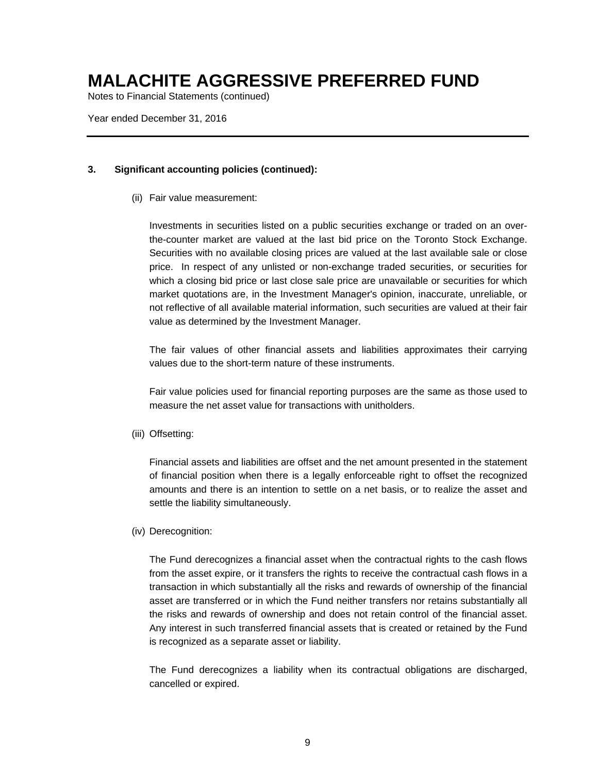Notes to Financial Statements (continued)

Year ended December 31, 2016

### **3. Significant accounting policies (continued):**

(ii) Fair value measurement:

Investments in securities listed on a public securities exchange or traded on an overthe-counter market are valued at the last bid price on the Toronto Stock Exchange. Securities with no available closing prices are valued at the last available sale or close price. In respect of any unlisted or non-exchange traded securities, or securities for which a closing bid price or last close sale price are unavailable or securities for which market quotations are, in the Investment Manager's opinion, inaccurate, unreliable, or not reflective of all available material information, such securities are valued at their fair value as determined by the Investment Manager.

The fair values of other financial assets and liabilities approximates their carrying values due to the short-term nature of these instruments.

Fair value policies used for financial reporting purposes are the same as those used to measure the net asset value for transactions with unitholders.

(iii) Offsetting:

Financial assets and liabilities are offset and the net amount presented in the statement of financial position when there is a legally enforceable right to offset the recognized amounts and there is an intention to settle on a net basis, or to realize the asset and settle the liability simultaneously.

(iv) Derecognition:

The Fund derecognizes a financial asset when the contractual rights to the cash flows from the asset expire, or it transfers the rights to receive the contractual cash flows in a transaction in which substantially all the risks and rewards of ownership of the financial asset are transferred or in which the Fund neither transfers nor retains substantially all the risks and rewards of ownership and does not retain control of the financial asset. Any interest in such transferred financial assets that is created or retained by the Fund is recognized as a separate asset or liability.

The Fund derecognizes a liability when its contractual obligations are discharged, cancelled or expired.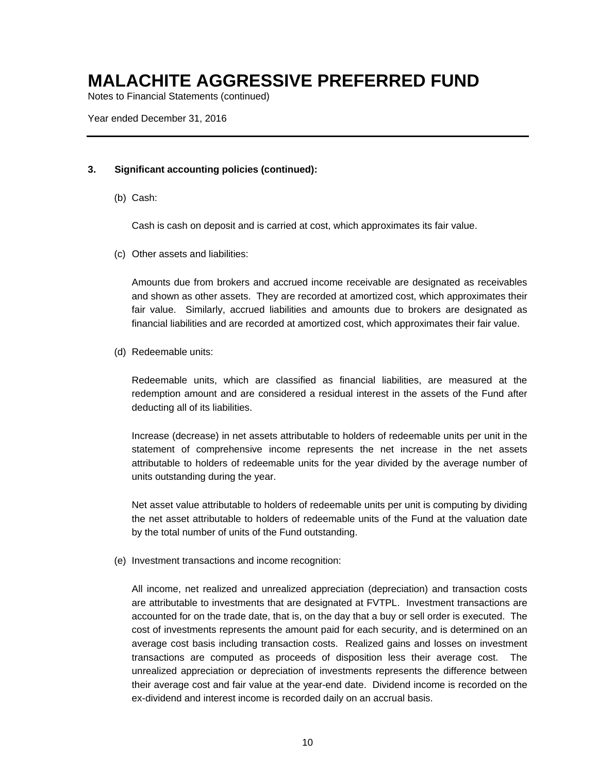Notes to Financial Statements (continued)

Year ended December 31, 2016

### **3. Significant accounting policies (continued):**

(b) Cash:

Cash is cash on deposit and is carried at cost, which approximates its fair value.

(c) Other assets and liabilities:

Amounts due from brokers and accrued income receivable are designated as receivables and shown as other assets. They are recorded at amortized cost, which approximates their fair value. Similarly, accrued liabilities and amounts due to brokers are designated as financial liabilities and are recorded at amortized cost, which approximates their fair value.

(d) Redeemable units:

Redeemable units, which are classified as financial liabilities, are measured at the redemption amount and are considered a residual interest in the assets of the Fund after deducting all of its liabilities.

Increase (decrease) in net assets attributable to holders of redeemable units per unit in the statement of comprehensive income represents the net increase in the net assets attributable to holders of redeemable units for the year divided by the average number of units outstanding during the year.

Net asset value attributable to holders of redeemable units per unit is computing by dividing the net asset attributable to holders of redeemable units of the Fund at the valuation date by the total number of units of the Fund outstanding.

(e) Investment transactions and income recognition:

All income, net realized and unrealized appreciation (depreciation) and transaction costs are attributable to investments that are designated at FVTPL. Investment transactions are accounted for on the trade date, that is, on the day that a buy or sell order is executed. The cost of investments represents the amount paid for each security, and is determined on an average cost basis including transaction costs. Realized gains and losses on investment transactions are computed as proceeds of disposition less their average cost. The unrealized appreciation or depreciation of investments represents the difference between their average cost and fair value at the year-end date. Dividend income is recorded on the ex-dividend and interest income is recorded daily on an accrual basis.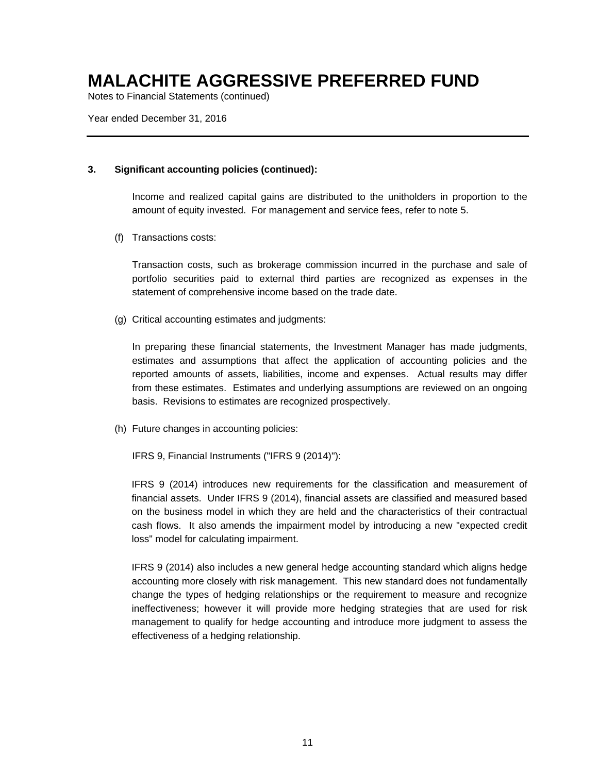Notes to Financial Statements (continued)

Year ended December 31, 2016

### **3. Significant accounting policies (continued):**

Income and realized capital gains are distributed to the unitholders in proportion to the amount of equity invested. For management and service fees, refer to note 5.

(f) Transactions costs:

Transaction costs, such as brokerage commission incurred in the purchase and sale of portfolio securities paid to external third parties are recognized as expenses in the statement of comprehensive income based on the trade date.

(g) Critical accounting estimates and judgments:

In preparing these financial statements, the Investment Manager has made judgments, estimates and assumptions that affect the application of accounting policies and the reported amounts of assets, liabilities, income and expenses. Actual results may differ from these estimates. Estimates and underlying assumptions are reviewed on an ongoing basis. Revisions to estimates are recognized prospectively.

(h) Future changes in accounting policies:

IFRS 9, Financial Instruments ("IFRS 9 (2014)"):

IFRS 9 (2014) introduces new requirements for the classification and measurement of financial assets. Under IFRS 9 (2014), financial assets are classified and measured based on the business model in which they are held and the characteristics of their contractual cash flows. It also amends the impairment model by introducing a new "expected credit loss" model for calculating impairment.

IFRS 9 (2014) also includes a new general hedge accounting standard which aligns hedge accounting more closely with risk management. This new standard does not fundamentally change the types of hedging relationships or the requirement to measure and recognize ineffectiveness; however it will provide more hedging strategies that are used for risk management to qualify for hedge accounting and introduce more judgment to assess the effectiveness of a hedging relationship.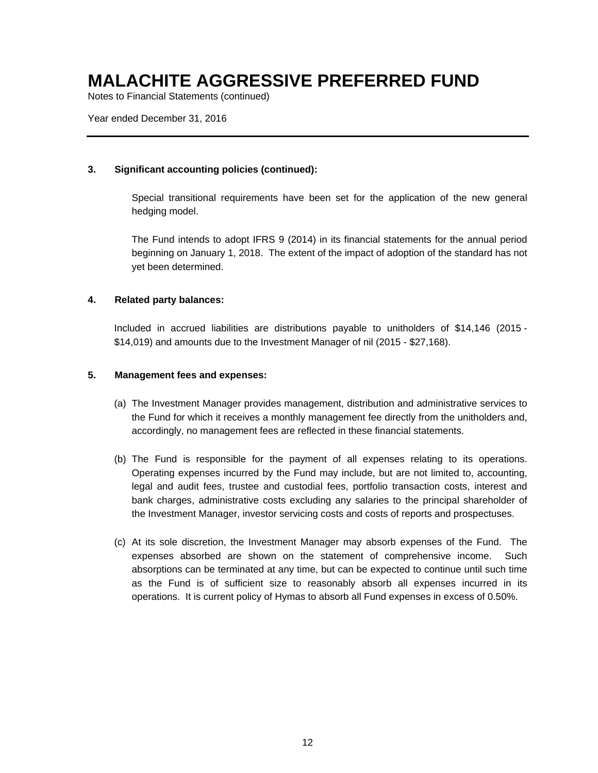Notes to Financial Statements (continued)

#### Year ended December 31, 2016

#### **3. Significant accounting policies (continued):**

Special transitional requirements have been set for the application of the new general hedging model.

The Fund intends to adopt IFRS 9 (2014) in its financial statements for the annual period beginning on January 1, 2018. The extent of the impact of adoption of the standard has not yet been determined.

### **4. Related party balances:**

Included in accrued liabilities are distributions payable to unitholders of \$14,146 (2015 - \$14,019) and amounts due to the Investment Manager of nil (2015 - \$27,168).

#### **5. Management fees and expenses:**

- (a) The Investment Manager provides management, distribution and administrative services to the Fund for which it receives a monthly management fee directly from the unitholders and, accordingly, no management fees are reflected in these financial statements.
- (b) The Fund is responsible for the payment of all expenses relating to its operations. Operating expenses incurred by the Fund may include, but are not limited to, accounting, legal and audit fees, trustee and custodial fees, portfolio transaction costs, interest and bank charges, administrative costs excluding any salaries to the principal shareholder of the Investment Manager, investor servicing costs and costs of reports and prospectuses.
- (c) At its sole discretion, the Investment Manager may absorb expenses of the Fund. The expenses absorbed are shown on the statement of comprehensive income. Such absorptions can be terminated at any time, but can be expected to continue until such time as the Fund is of sufficient size to reasonably absorb all expenses incurred in its operations. It is current policy of Hymas to absorb all Fund expenses in excess of 0.50%.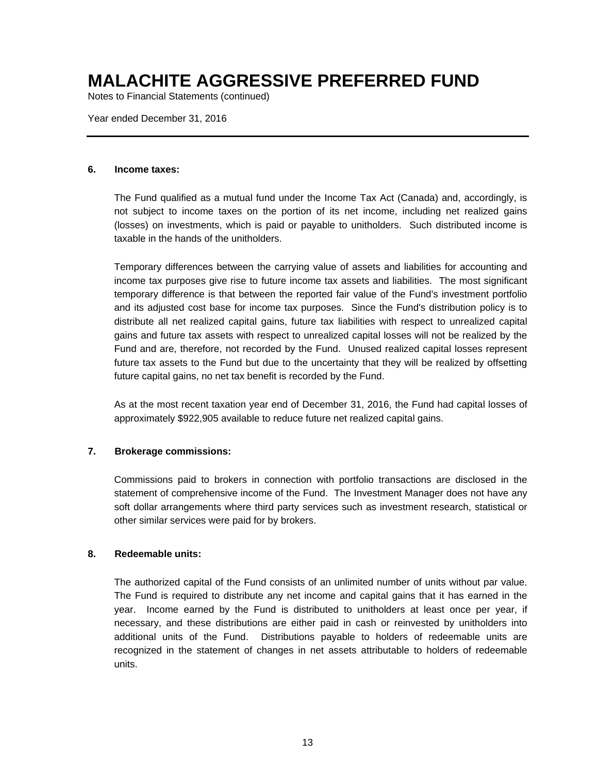Notes to Financial Statements (continued)

Year ended December 31, 2016

#### **6. Income taxes:**

The Fund qualified as a mutual fund under the Income Tax Act (Canada) and, accordingly, is not subject to income taxes on the portion of its net income, including net realized gains (losses) on investments, which is paid or payable to unitholders. Such distributed income is taxable in the hands of the unitholders.

Temporary differences between the carrying value of assets and liabilities for accounting and income tax purposes give rise to future income tax assets and liabilities. The most significant temporary difference is that between the reported fair value of the Fund's investment portfolio and its adjusted cost base for income tax purposes. Since the Fund's distribution policy is to distribute all net realized capital gains, future tax liabilities with respect to unrealized capital gains and future tax assets with respect to unrealized capital losses will not be realized by the Fund and are, therefore, not recorded by the Fund. Unused realized capital losses represent future tax assets to the Fund but due to the uncertainty that they will be realized by offsetting future capital gains, no net tax benefit is recorded by the Fund.

As at the most recent taxation year end of December 31, 2016, the Fund had capital losses of approximately \$922,905 available to reduce future net realized capital gains.

#### **7. Brokerage commissions:**

Commissions paid to brokers in connection with portfolio transactions are disclosed in the statement of comprehensive income of the Fund. The Investment Manager does not have any soft dollar arrangements where third party services such as investment research, statistical or other similar services were paid for by brokers.

### **8. Redeemable units:**

The authorized capital of the Fund consists of an unlimited number of units without par value. The Fund is required to distribute any net income and capital gains that it has earned in the year. Income earned by the Fund is distributed to unitholders at least once per year, if necessary, and these distributions are either paid in cash or reinvested by unitholders into additional units of the Fund. Distributions payable to holders of redeemable units are recognized in the statement of changes in net assets attributable to holders of redeemable units.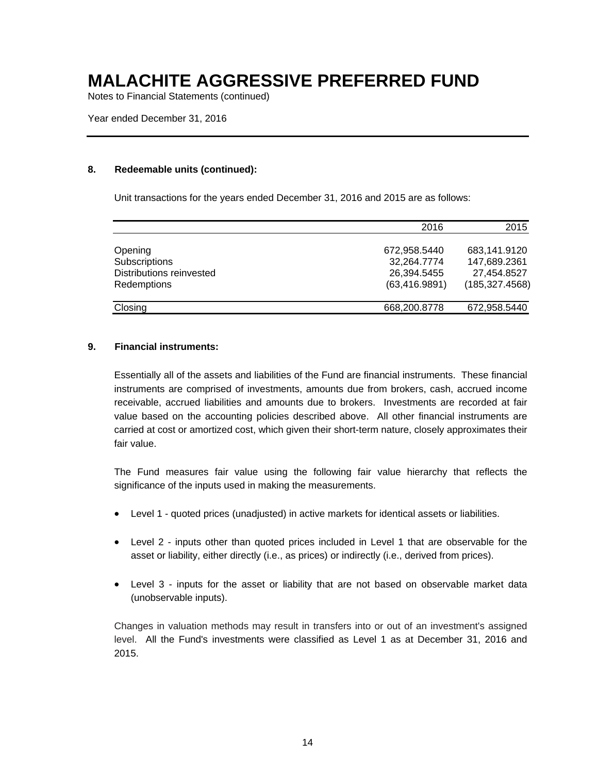Notes to Financial Statements (continued)

Year ended December 31, 2016

#### **8. Redeemable units (continued):**

Unit transactions for the years ended December 31, 2016 and 2015 are as follows:

|                          | 2016           | 2015            |
|--------------------------|----------------|-----------------|
|                          |                |                 |
| Opening                  | 672,958.5440   | 683,141.9120    |
| Subscriptions            | 32,264.7774    | 147,689.2361    |
| Distributions reinvested | 26,394.5455    | 27,454.8527     |
| Redemptions              | (63, 416.9891) | (185, 327.4568) |
| Closing                  | 668,200.8778   | 672,958.5440    |

### **9. Financial instruments:**

Essentially all of the assets and liabilities of the Fund are financial instruments. These financial instruments are comprised of investments, amounts due from brokers, cash, accrued income receivable, accrued liabilities and amounts due to brokers. Investments are recorded at fair value based on the accounting policies described above. All other financial instruments are carried at cost or amortized cost, which given their short-term nature, closely approximates their fair value.

The Fund measures fair value using the following fair value hierarchy that reflects the significance of the inputs used in making the measurements.

- Level 1 quoted prices (unadjusted) in active markets for identical assets or liabilities.
- Level 2 inputs other than quoted prices included in Level 1 that are observable for the asset or liability, either directly (i.e., as prices) or indirectly (i.e., derived from prices).
- Level 3 inputs for the asset or liability that are not based on observable market data (unobservable inputs).

Changes in valuation methods may result in transfers into or out of an investment's assigned level. All the Fund's investments were classified as Level 1 as at December 31, 2016 and 2015.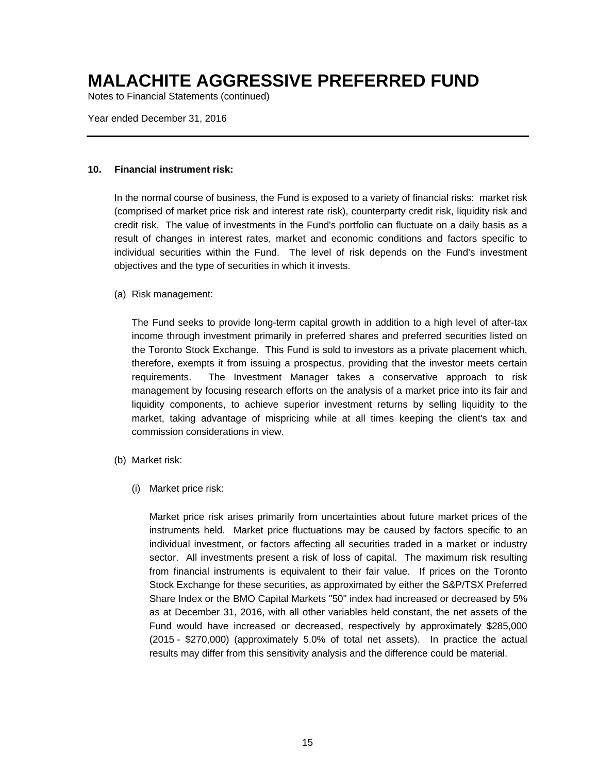Notes to Financial Statements (continued)

Year ended December 31, 2016

#### **10. Financial instrument risk:**

In the normal course of business, the Fund is exposed to a variety of financial risks: market risk (comprised of market price risk and interest rate risk), counterparty credit risk, liquidity risk and credit risk. The value of investments in the Fund's portfolio can fluctuate on a daily basis as a result of changes in interest rates, market and economic conditions and factors specific to individual securities within the Fund. The level of risk depends on the Fund's investment objectives and the type of securities in which it invests.

(a) Risk management:

The Fund seeks to provide long-term capital growth in addition to a high level of after-tax income through investment primarily in preferred shares and preferred securities listed on the Toronto Stock Exchange. This Fund is sold to investors as a private placement which, therefore, exempts it from issuing a prospectus, providing that the investor meets certain requirements. The Investment Manager takes a conservative approach to risk management by focusing research efforts on the analysis of a market price into its fair and liquidity components, to achieve superior investment returns by selling liquidity to the market, taking advantage of mispricing while at all times keeping the client's tax and commission considerations in view.

- (b) Market risk:
	- (i) Market price risk:

Market price risk arises primarily from uncertainties about future market prices of the instruments held. Market price fluctuations may be caused by factors specific to an individual investment, or factors affecting all securities traded in a market or industry sector. All investments present a risk of loss of capital. The maximum risk resulting from financial instruments is equivalent to their fair value. If prices on the Toronto Stock Exchange for these securities, as approximated by either the S&P/TSX Preferred Share Index or the BMO Capital Markets "50" index had increased or decreased by 5% as at December 31, 2016, with all other variables held constant, the net assets of the Fund would have increased or decreased, respectively by approximately \$285,000 (2015 - \$270,000) (approximately 5.0% of total net assets). In practice the actual results may differ from this sensitivity analysis and the difference could be material.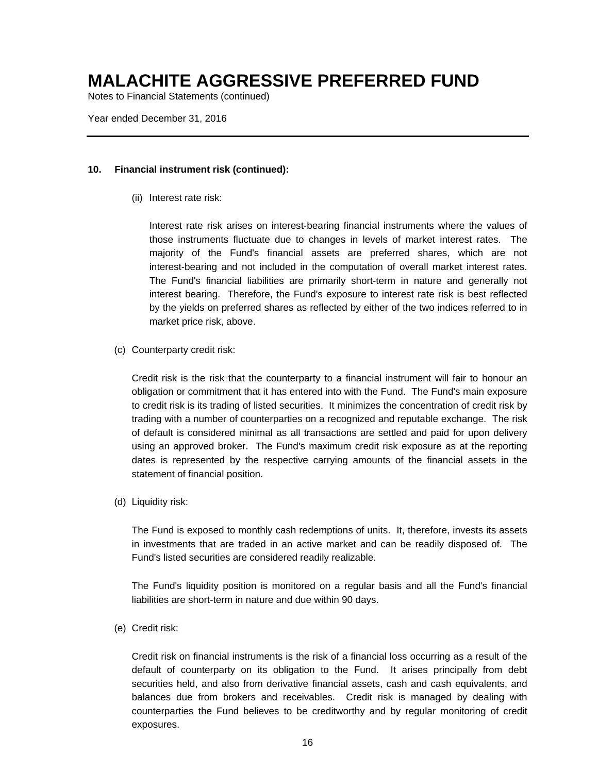Notes to Financial Statements (continued)

Year ended December 31, 2016

#### **10. Financial instrument risk (continued):**

(ii) Interest rate risk:

Interest rate risk arises on interest-bearing financial instruments where the values of those instruments fluctuate due to changes in levels of market interest rates. The majority of the Fund's financial assets are preferred shares, which are not interest-bearing and not included in the computation of overall market interest rates. The Fund's financial liabilities are primarily short-term in nature and generally not interest bearing. Therefore, the Fund's exposure to interest rate risk is best reflected by the yields on preferred shares as reflected by either of the two indices referred to in market price risk, above.

(c) Counterparty credit risk:

Credit risk is the risk that the counterparty to a financial instrument will fair to honour an obligation or commitment that it has entered into with the Fund. The Fund's main exposure to credit risk is its trading of listed securities. It minimizes the concentration of credit risk by trading with a number of counterparties on a recognized and reputable exchange. The risk of default is considered minimal as all transactions are settled and paid for upon delivery using an approved broker. The Fund's maximum credit risk exposure as at the reporting dates is represented by the respective carrying amounts of the financial assets in the statement of financial position.

(d) Liquidity risk:

The Fund is exposed to monthly cash redemptions of units. It, therefore, invests its assets in investments that are traded in an active market and can be readily disposed of. The Fund's listed securities are considered readily realizable.

The Fund's liquidity position is monitored on a regular basis and all the Fund's financial liabilities are short-term in nature and due within 90 days.

(e) Credit risk:

Credit risk on financial instruments is the risk of a financial loss occurring as a result of the default of counterparty on its obligation to the Fund. It arises principally from debt securities held, and also from derivative financial assets, cash and cash equivalents, and balances due from brokers and receivables. Credit risk is managed by dealing with counterparties the Fund believes to be creditworthy and by regular monitoring of credit exposures.